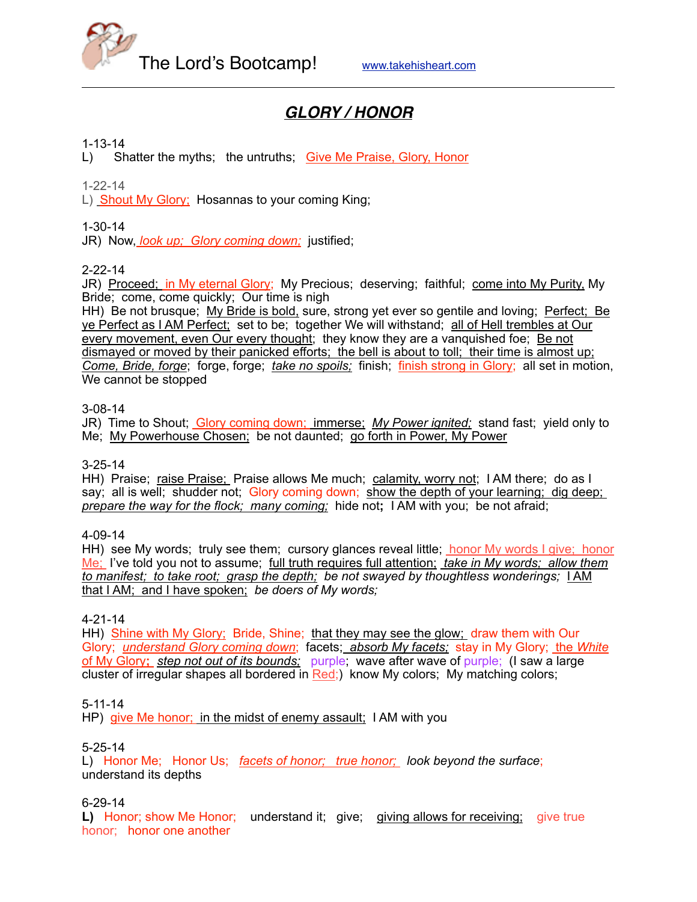

# *GLORY / HONOR*

## 1-13-14

L) Shatter the myths; the untruths; Give Me Praise, Glory, Honor

1-22-14

L) Shout My Glory; Hosannas to your coming King;

## 1-30-14

JR) Now, *look up; Glory coming down;* justified;

## 2-22-14

JR) Proceed; in My eternal Glory; My Precious; deserving; faithful; come into My Purity, My Bride; come, come quickly; Our time is nigh

HH) Be not brusque; My Bride is bold, sure, strong yet ever so gentile and loving; Perfect; Be ye Perfect as I AM Perfect; set to be; together We will withstand; all of Hell trembles at Our every movement, even Our every thought; they know they are a vanquished foe; Be not dismayed or moved by their panicked efforts; the bell is about to toll; their time is almost up; *Come, Bride, forge*; forge, forge; *take no spoils;* finish; finish strong in Glory; all set in motion, We cannot be stopped

#### 3-08-14

JR) Time to Shout; Glory coming down; immerse; *My Power ignited;* stand fast; yield only to Me; My Powerhouse Chosen; be not daunted; go forth in Power, My Power

## 3-25-14

HH) Praise; raise Praise; Praise allows Me much; calamity, worry not; I AM there; do as I say; all is well; shudder not; Glory coming down; show the depth of your learning; dig deep; *prepare the way for the flock; many coming;* hide not**;** I AM with you; be not afraid;

#### 4-09-14

HH) see My words; truly see them; cursory glances reveal little; honor My words I give; honor Me; I've told you not to assume; full truth requires full attention; *take in My words; allow them to manifest; to take root; grasp the depth; be not swayed by thoughtless wonderings;* I AM that I AM; and I have spoken; *be doers of My words;*

#### 4-21-14

HH) Shine with My Glory; Bride, Shine; that they may see the glow; draw them with Our Glory; *understand Glory coming down*; facets; *absorb My facets;* stay in My Glory; the *White*  of My Glory**;** *step not out of its bounds;* purple; wave after wave of purple; (I saw a large cluster of irregular shapes all bordered in  $Red$ ; know My colors; My matching colors;

5-11-14

HP) give Me honor; in the midst of enemy assault; I AM with you

#### 5-25-14

L) Honor Me; Honor Us; *facets of honor; true honor; look beyond the surface*; understand its depths

#### 6-29-14

L) Honor; show Me Honor; understand it; give; giving allows for receiving; give true honor; honor one another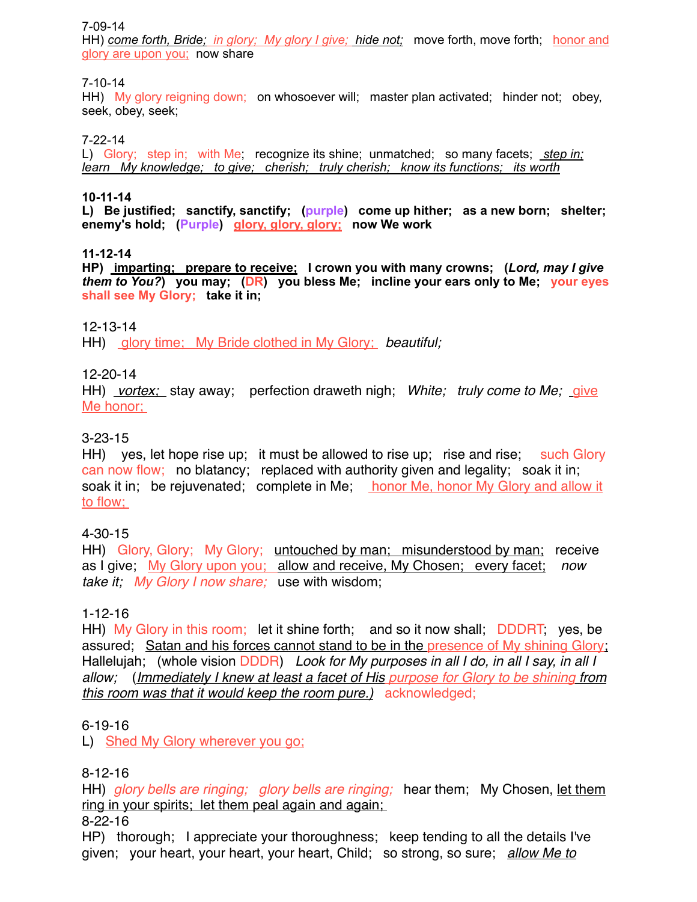### 7-09-14

HH) *come forth, Bride; in glory; My glory I give; hide not;* move forth, move forth; honor and glory are upon you; now share

## 7-10-14

HH) My glory reigning down; on whosoever will; master plan activated; hinder not; obey, seek, obey, seek;

## 7-22-14

L) Glory; step in; with Me; recognize its shine; unmatched; so many facets; *step in; learn My knowledge; to give; cherish; truly cherish; know its functions; its worth*

### **10-11-14**

**L) Be justified; sanctify, sanctify; (purple) come up hither; as a new born; shelter; enemy's hold; (Purple) glory, glory, glory; now We work**

### **11-12-14**

**HP) imparting; prepare to receive; I crown you with many crowns; (***Lord, may I give them to You?***) you may; (DR) you bless Me; incline your ears only to Me; your eyes shall see My Glory; take it in;** 

## 12-13-14

HH) glory time; My Bride clothed in My Glory; *beautiful;* 

## 12-20-14

HH) *vortex;* stay away; perfection draweth nigh; *White; truly come to Me;* give Me honor;

## 3-23-15

HH) ves, let hope rise up; it must be allowed to rise up; rise and rise; such Glory can now flow; no blatancy; replaced with authority given and legality; soak it in; soak it in; be rejuvenated; complete in Me; honor Me, honor My Glory and allow it to flow;

## 4-30-15

HH) Glory, Glory; My Glory; untouched by man; misunderstood by man; receive as I give; My Glory upon you; allow and receive, My Chosen; every facet; *now take it; My Glory I now share;* use with wisdom;

## 1-12-16

HH) My Glory in this room; let it shine forth; and so it now shall; DDDRT, yes, be assured; Satan and his forces cannot stand to be in the presence of My shining Glory; Hallelujah; (whole vision DDDR) *Look for My purposes in all I do, in all I say, in all I allow;* (*Immediately I knew at least a facet of His purpose for Glory to be shining from this room was that it would keep the room pure.)* acknowledged;

## 6-19-16

L) Shed My Glory wherever you go;

## 8-12-16

HH) *glory bells are ringing; glory bells are ringing;* hear them; My Chosen, let them ring in your spirits; let them peal again and again;

8-22-16

HP) thorough; I appreciate your thoroughness; keep tending to all the details I've given; your heart, your heart, your heart, Child; so strong, so sure; *allow Me to*